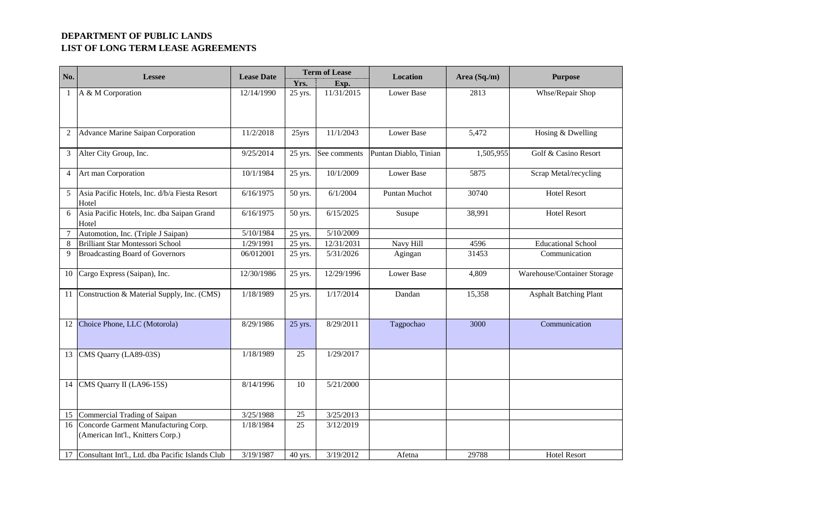| No.            | <b>Lessee</b>                                                             | <b>Lease Date</b> | Yrs.    | <b>Term of Lease</b><br>Exp. | Location              | Area (Sq./m) | <b>Purpose</b>                |
|----------------|---------------------------------------------------------------------------|-------------------|---------|------------------------------|-----------------------|--------------|-------------------------------|
| $\mathbf{1}$   | A & M Corporation                                                         | 12/14/1990        | 25 yrs. | 11/31/2015                   | Lower Base            | 2813         | Whse/Repair Shop              |
| $\overline{2}$ | Advance Marine Saipan Corporation                                         | 11/2/2018         | 25yrs   | 11/1/2043                    | <b>Lower Base</b>     | 5,472        | Hosing & Dwelling             |
| $\mathfrak{Z}$ | Alter City Group, Inc.                                                    | 9/25/2014         |         | 25 yrs. See comments         | Puntan Diablo, Tinian | 1,505,955    | Golf & Casino Resort          |
| $\overline{4}$ | Art man Corporation                                                       | 10/1/1984         | 25 yrs. | 10/1/2009                    | Lower Base            | 5875         | Scrap Metal/recycling         |
| 5              | Asia Pacific Hotels, Inc. d/b/a Fiesta Resort<br>Hotel                    | 6/16/1975         | 50 yrs. | 6/1/2004                     | Puntan Muchot         | 30740        | <b>Hotel Resort</b>           |
| 6              | Asia Pacific Hotels, Inc. dba Saipan Grand<br>Hotel                       | 6/16/1975         | 50 yrs. | 6/15/2025                    | Susupe                | 38,991       | <b>Hotel Resort</b>           |
|                | Automotion, Inc. (Triple J Saipan)                                        | 5/10/1984         | 25 yrs. | 5/10/2009                    |                       |              |                               |
| 8              | <b>Brilliant Star Montessori School</b>                                   | 1/29/1991         | 25 yrs. | 12/31/2031                   | Navy Hill             | 4596         | <b>Educational School</b>     |
| 9              | <b>Broadcasting Board of Governors</b>                                    | 06/012001         | 25 yrs. | 5/31/2026                    | Agingan               | 31453        | Communication                 |
| 10             | Cargo Express (Saipan), Inc.                                              | 12/30/1986        | 25 yrs. | 12/29/1996                   | <b>Lower Base</b>     | 4,809        | Warehouse/Container Storage   |
|                | 11 Construction & Material Supply, Inc. (CMS)                             | 1/18/1989         | 25 yrs. | 1/17/2014                    | Dandan                | 15,358       | <b>Asphalt Batching Plant</b> |
|                | 12 Choice Phone, LLC (Motorola)                                           | 8/29/1986         | 25 yrs. | 8/29/2011                    | Tagpochao             | 3000         | Communication                 |
| 13             | CMS Quarry (LA89-03S)                                                     | 1/18/1989         | 25      | 1/29/2017                    |                       |              |                               |
|                | 14 CMS Quarry II (LA96-15S)                                               | 8/14/1996         | 10      | 5/21/2000                    |                       |              |                               |
|                | 15 Commercial Trading of Saipan                                           | 3/25/1988         | 25      | 3/25/2013                    |                       |              |                               |
| 16             | Concorde Garment Manufacturing Corp.<br>(American Int'l., Knitters Corp.) | 1/18/1984         | 25      | 3/12/2019                    |                       |              |                               |
|                | 17 Consultant Int'l., Ltd. dba Pacific Islands Club                       | 3/19/1987         | 40 yrs. | 3/19/2012                    | Afetna                | 29788        | <b>Hotel Resort</b>           |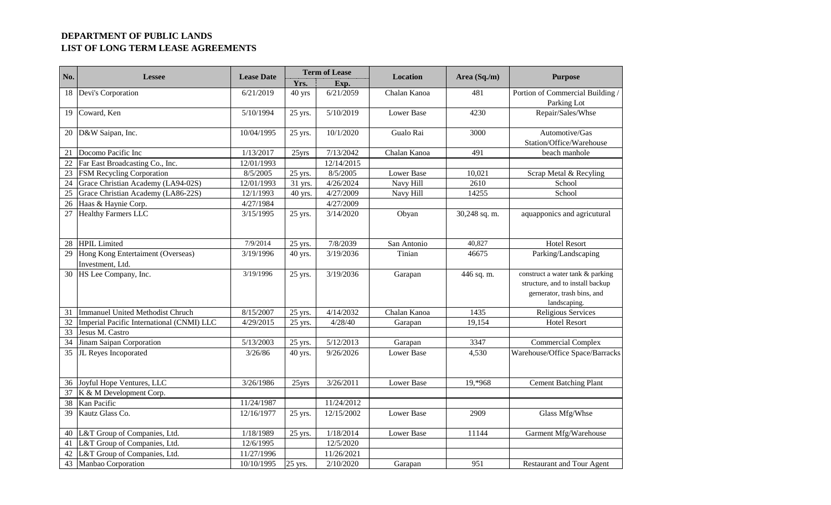| Yrs.<br>Exp.<br>Devi's Corporation<br>6/21/2019<br>6/21/2059<br>Portion of Commercial Building /<br>40 yrs<br>Chalan Kanoa<br>481<br>Parking Lot<br>Coward, Ken<br>5/10/2019<br><b>Lower Base</b><br>4230<br>Repair/Sales/Whse<br>5/10/1994<br>25 yrs.<br>D&W Saipan, Inc.<br>10/1/2020<br>Gualo Rai<br>Automotive/Gas<br>10/04/1995<br>3000<br>25 yrs.<br>Station/Office/Warehouse<br>Docomo Pacific Inc<br>1/13/2017<br>7/13/2042<br>Chalan Kanoa<br>491<br>beach manhole<br>25yrs<br>Far East Broadcasting Co., Inc.<br>12/01/1993<br>12/14/2015<br>22<br>8/5/2005<br>8/5/2005<br>FSM Recycling Corporation<br><b>Lower Base</b><br>Scrap Metal & Recyling<br>25 yrs.<br>10,021<br>Grace Christian Academy (LA94-02S)<br>12/01/1993<br>4/26/2024<br>Navy Hill<br>2610<br>31 yrs.<br>School<br>Grace Christian Academy (LA86-22S)<br>12/1/1993<br>4/27/2009<br>Navy Hill<br>14255<br>School<br>40 yrs.<br>Haas & Haynie Corp.<br>4/27/1984<br>4/27/2009<br>27 Healthy Farmers LLC<br>3/15/1995<br>3/14/2020<br>30,248 sq. m.<br>25 yrs.<br>Obyan<br>aquapponics and agricutural<br>7/9/2014<br>7/8/2039<br>40,827<br><b>HPIL</b> Limited<br>San Antonio<br><b>Hotel Resort</b><br>25 yrs.<br>Hong Kong Entertaiment (Overseas)<br>3/19/2036<br>Tinian<br>46675<br>Parking/Landscaping<br>3/19/1996<br>40 yrs.<br>Investment, Ltd.<br>30 HS Lee Company, Inc.<br>3/19/1996<br>3/19/2036<br>construct a water tank & parking<br>Garapan<br>25 yrs.<br>446 sq. m.<br>structure, and to install backup<br>gernerator, trash bins, and<br>landscaping.<br>Immanuel United Methodist Chruch<br>8/15/2007<br>4/14/2032<br>Chalan Kanoa<br>1435<br>Religious Services<br>25 yrs.<br>Imperial Pacific International (CNMI) LLC<br>4/29/2015<br>4/28/40<br>19,154<br>32<br>25 yrs.<br><b>Hotel Resort</b><br>Garapan<br>33<br>Jesus M. Castro<br>Jinam Saipan Corporation<br>5/13/2003<br>5/12/2013<br><b>Commercial Complex</b><br>25 yrs.<br>3347<br>Garapan<br>JL Reyes Incoporated<br>9/26/2026<br><b>Lower Base</b><br>4,530<br>Warehouse/Office Space/Barracks<br>3/26/86<br>40 yrs.<br>3/26/2011<br>Joyful Hope Ventures, LLC<br>3/26/1986<br><b>Lower Base</b><br>19,*968<br><b>Cement Batching Plant</b><br>25yrs<br>K & M Development Corp.<br>Kan Pacific<br>11/24/1987<br>11/24/2012<br>Kautz Glass Co.<br>12/15/2002<br><b>Lower Base</b><br>Glass Mfg/Whse<br>12/16/1977<br>25 yrs.<br>2909<br>40 L&T Group of Companies, Ltd.<br>1/18/1989<br>1/18/2014<br><b>Lower Base</b><br>11144<br>Garment Mfg/Warehouse<br>25 yrs.<br>L&T Group of Companies, Ltd.<br>12/6/1995<br>12/5/2020<br>L&T Group of Companies, Ltd.<br>11/27/1996<br>11/26/2021<br>43 Manbao Corporation | No. | <b>Lessee</b> | <b>Lease Date</b> |         | <b>Term of Lease</b> | <b>Location</b> | Area (Sq./m) | <b>Purpose</b>                   |
|---------------------------------------------------------------------------------------------------------------------------------------------------------------------------------------------------------------------------------------------------------------------------------------------------------------------------------------------------------------------------------------------------------------------------------------------------------------------------------------------------------------------------------------------------------------------------------------------------------------------------------------------------------------------------------------------------------------------------------------------------------------------------------------------------------------------------------------------------------------------------------------------------------------------------------------------------------------------------------------------------------------------------------------------------------------------------------------------------------------------------------------------------------------------------------------------------------------------------------------------------------------------------------------------------------------------------------------------------------------------------------------------------------------------------------------------------------------------------------------------------------------------------------------------------------------------------------------------------------------------------------------------------------------------------------------------------------------------------------------------------------------------------------------------------------------------------------------------------------------------------------------------------------------------------------------------------------------------------------------------------------------------------------------------------------------------------------------------------------------------------------------------------------------------------------------------------------------------------------------------------------------------------------------------------------------------------------------------------------------------------------------------------------------------------------------------------------------------------------------------------------------------------------------------------------------------------------------------------------------------------------------------------------------------------------|-----|---------------|-------------------|---------|----------------------|-----------------|--------------|----------------------------------|
|                                                                                                                                                                                                                                                                                                                                                                                                                                                                                                                                                                                                                                                                                                                                                                                                                                                                                                                                                                                                                                                                                                                                                                                                                                                                                                                                                                                                                                                                                                                                                                                                                                                                                                                                                                                                                                                                                                                                                                                                                                                                                                                                                                                                                                                                                                                                                                                                                                                                                                                                                                                                                                                                                 |     |               |                   |         |                      |                 |              |                                  |
|                                                                                                                                                                                                                                                                                                                                                                                                                                                                                                                                                                                                                                                                                                                                                                                                                                                                                                                                                                                                                                                                                                                                                                                                                                                                                                                                                                                                                                                                                                                                                                                                                                                                                                                                                                                                                                                                                                                                                                                                                                                                                                                                                                                                                                                                                                                                                                                                                                                                                                                                                                                                                                                                                 | 18  |               |                   |         |                      |                 |              |                                  |
|                                                                                                                                                                                                                                                                                                                                                                                                                                                                                                                                                                                                                                                                                                                                                                                                                                                                                                                                                                                                                                                                                                                                                                                                                                                                                                                                                                                                                                                                                                                                                                                                                                                                                                                                                                                                                                                                                                                                                                                                                                                                                                                                                                                                                                                                                                                                                                                                                                                                                                                                                                                                                                                                                 |     |               |                   |         |                      |                 |              |                                  |
|                                                                                                                                                                                                                                                                                                                                                                                                                                                                                                                                                                                                                                                                                                                                                                                                                                                                                                                                                                                                                                                                                                                                                                                                                                                                                                                                                                                                                                                                                                                                                                                                                                                                                                                                                                                                                                                                                                                                                                                                                                                                                                                                                                                                                                                                                                                                                                                                                                                                                                                                                                                                                                                                                 | 19  |               |                   |         |                      |                 |              |                                  |
|                                                                                                                                                                                                                                                                                                                                                                                                                                                                                                                                                                                                                                                                                                                                                                                                                                                                                                                                                                                                                                                                                                                                                                                                                                                                                                                                                                                                                                                                                                                                                                                                                                                                                                                                                                                                                                                                                                                                                                                                                                                                                                                                                                                                                                                                                                                                                                                                                                                                                                                                                                                                                                                                                 |     |               |                   |         |                      |                 |              |                                  |
|                                                                                                                                                                                                                                                                                                                                                                                                                                                                                                                                                                                                                                                                                                                                                                                                                                                                                                                                                                                                                                                                                                                                                                                                                                                                                                                                                                                                                                                                                                                                                                                                                                                                                                                                                                                                                                                                                                                                                                                                                                                                                                                                                                                                                                                                                                                                                                                                                                                                                                                                                                                                                                                                                 | 20  |               |                   |         |                      |                 |              |                                  |
|                                                                                                                                                                                                                                                                                                                                                                                                                                                                                                                                                                                                                                                                                                                                                                                                                                                                                                                                                                                                                                                                                                                                                                                                                                                                                                                                                                                                                                                                                                                                                                                                                                                                                                                                                                                                                                                                                                                                                                                                                                                                                                                                                                                                                                                                                                                                                                                                                                                                                                                                                                                                                                                                                 |     |               |                   |         |                      |                 |              |                                  |
|                                                                                                                                                                                                                                                                                                                                                                                                                                                                                                                                                                                                                                                                                                                                                                                                                                                                                                                                                                                                                                                                                                                                                                                                                                                                                                                                                                                                                                                                                                                                                                                                                                                                                                                                                                                                                                                                                                                                                                                                                                                                                                                                                                                                                                                                                                                                                                                                                                                                                                                                                                                                                                                                                 | 21  |               |                   |         |                      |                 |              |                                  |
|                                                                                                                                                                                                                                                                                                                                                                                                                                                                                                                                                                                                                                                                                                                                                                                                                                                                                                                                                                                                                                                                                                                                                                                                                                                                                                                                                                                                                                                                                                                                                                                                                                                                                                                                                                                                                                                                                                                                                                                                                                                                                                                                                                                                                                                                                                                                                                                                                                                                                                                                                                                                                                                                                 |     |               |                   |         |                      |                 |              |                                  |
|                                                                                                                                                                                                                                                                                                                                                                                                                                                                                                                                                                                                                                                                                                                                                                                                                                                                                                                                                                                                                                                                                                                                                                                                                                                                                                                                                                                                                                                                                                                                                                                                                                                                                                                                                                                                                                                                                                                                                                                                                                                                                                                                                                                                                                                                                                                                                                                                                                                                                                                                                                                                                                                                                 | 23  |               |                   |         |                      |                 |              |                                  |
|                                                                                                                                                                                                                                                                                                                                                                                                                                                                                                                                                                                                                                                                                                                                                                                                                                                                                                                                                                                                                                                                                                                                                                                                                                                                                                                                                                                                                                                                                                                                                                                                                                                                                                                                                                                                                                                                                                                                                                                                                                                                                                                                                                                                                                                                                                                                                                                                                                                                                                                                                                                                                                                                                 | 24  |               |                   |         |                      |                 |              |                                  |
|                                                                                                                                                                                                                                                                                                                                                                                                                                                                                                                                                                                                                                                                                                                                                                                                                                                                                                                                                                                                                                                                                                                                                                                                                                                                                                                                                                                                                                                                                                                                                                                                                                                                                                                                                                                                                                                                                                                                                                                                                                                                                                                                                                                                                                                                                                                                                                                                                                                                                                                                                                                                                                                                                 | 25  |               |                   |         |                      |                 |              |                                  |
|                                                                                                                                                                                                                                                                                                                                                                                                                                                                                                                                                                                                                                                                                                                                                                                                                                                                                                                                                                                                                                                                                                                                                                                                                                                                                                                                                                                                                                                                                                                                                                                                                                                                                                                                                                                                                                                                                                                                                                                                                                                                                                                                                                                                                                                                                                                                                                                                                                                                                                                                                                                                                                                                                 | 26  |               |                   |         |                      |                 |              |                                  |
|                                                                                                                                                                                                                                                                                                                                                                                                                                                                                                                                                                                                                                                                                                                                                                                                                                                                                                                                                                                                                                                                                                                                                                                                                                                                                                                                                                                                                                                                                                                                                                                                                                                                                                                                                                                                                                                                                                                                                                                                                                                                                                                                                                                                                                                                                                                                                                                                                                                                                                                                                                                                                                                                                 |     |               |                   |         |                      |                 |              |                                  |
|                                                                                                                                                                                                                                                                                                                                                                                                                                                                                                                                                                                                                                                                                                                                                                                                                                                                                                                                                                                                                                                                                                                                                                                                                                                                                                                                                                                                                                                                                                                                                                                                                                                                                                                                                                                                                                                                                                                                                                                                                                                                                                                                                                                                                                                                                                                                                                                                                                                                                                                                                                                                                                                                                 |     |               |                   |         |                      |                 |              |                                  |
|                                                                                                                                                                                                                                                                                                                                                                                                                                                                                                                                                                                                                                                                                                                                                                                                                                                                                                                                                                                                                                                                                                                                                                                                                                                                                                                                                                                                                                                                                                                                                                                                                                                                                                                                                                                                                                                                                                                                                                                                                                                                                                                                                                                                                                                                                                                                                                                                                                                                                                                                                                                                                                                                                 |     |               |                   |         |                      |                 |              |                                  |
|                                                                                                                                                                                                                                                                                                                                                                                                                                                                                                                                                                                                                                                                                                                                                                                                                                                                                                                                                                                                                                                                                                                                                                                                                                                                                                                                                                                                                                                                                                                                                                                                                                                                                                                                                                                                                                                                                                                                                                                                                                                                                                                                                                                                                                                                                                                                                                                                                                                                                                                                                                                                                                                                                 | 28  |               |                   |         |                      |                 |              |                                  |
|                                                                                                                                                                                                                                                                                                                                                                                                                                                                                                                                                                                                                                                                                                                                                                                                                                                                                                                                                                                                                                                                                                                                                                                                                                                                                                                                                                                                                                                                                                                                                                                                                                                                                                                                                                                                                                                                                                                                                                                                                                                                                                                                                                                                                                                                                                                                                                                                                                                                                                                                                                                                                                                                                 | 29  |               |                   |         |                      |                 |              |                                  |
|                                                                                                                                                                                                                                                                                                                                                                                                                                                                                                                                                                                                                                                                                                                                                                                                                                                                                                                                                                                                                                                                                                                                                                                                                                                                                                                                                                                                                                                                                                                                                                                                                                                                                                                                                                                                                                                                                                                                                                                                                                                                                                                                                                                                                                                                                                                                                                                                                                                                                                                                                                                                                                                                                 |     |               |                   |         |                      |                 |              |                                  |
|                                                                                                                                                                                                                                                                                                                                                                                                                                                                                                                                                                                                                                                                                                                                                                                                                                                                                                                                                                                                                                                                                                                                                                                                                                                                                                                                                                                                                                                                                                                                                                                                                                                                                                                                                                                                                                                                                                                                                                                                                                                                                                                                                                                                                                                                                                                                                                                                                                                                                                                                                                                                                                                                                 |     |               |                   |         |                      |                 |              |                                  |
|                                                                                                                                                                                                                                                                                                                                                                                                                                                                                                                                                                                                                                                                                                                                                                                                                                                                                                                                                                                                                                                                                                                                                                                                                                                                                                                                                                                                                                                                                                                                                                                                                                                                                                                                                                                                                                                                                                                                                                                                                                                                                                                                                                                                                                                                                                                                                                                                                                                                                                                                                                                                                                                                                 |     |               |                   |         |                      |                 |              |                                  |
|                                                                                                                                                                                                                                                                                                                                                                                                                                                                                                                                                                                                                                                                                                                                                                                                                                                                                                                                                                                                                                                                                                                                                                                                                                                                                                                                                                                                                                                                                                                                                                                                                                                                                                                                                                                                                                                                                                                                                                                                                                                                                                                                                                                                                                                                                                                                                                                                                                                                                                                                                                                                                                                                                 |     |               |                   |         |                      |                 |              |                                  |
|                                                                                                                                                                                                                                                                                                                                                                                                                                                                                                                                                                                                                                                                                                                                                                                                                                                                                                                                                                                                                                                                                                                                                                                                                                                                                                                                                                                                                                                                                                                                                                                                                                                                                                                                                                                                                                                                                                                                                                                                                                                                                                                                                                                                                                                                                                                                                                                                                                                                                                                                                                                                                                                                                 |     |               |                   |         |                      |                 |              |                                  |
|                                                                                                                                                                                                                                                                                                                                                                                                                                                                                                                                                                                                                                                                                                                                                                                                                                                                                                                                                                                                                                                                                                                                                                                                                                                                                                                                                                                                                                                                                                                                                                                                                                                                                                                                                                                                                                                                                                                                                                                                                                                                                                                                                                                                                                                                                                                                                                                                                                                                                                                                                                                                                                                                                 | 31  |               |                   |         |                      |                 |              |                                  |
|                                                                                                                                                                                                                                                                                                                                                                                                                                                                                                                                                                                                                                                                                                                                                                                                                                                                                                                                                                                                                                                                                                                                                                                                                                                                                                                                                                                                                                                                                                                                                                                                                                                                                                                                                                                                                                                                                                                                                                                                                                                                                                                                                                                                                                                                                                                                                                                                                                                                                                                                                                                                                                                                                 |     |               |                   |         |                      |                 |              |                                  |
|                                                                                                                                                                                                                                                                                                                                                                                                                                                                                                                                                                                                                                                                                                                                                                                                                                                                                                                                                                                                                                                                                                                                                                                                                                                                                                                                                                                                                                                                                                                                                                                                                                                                                                                                                                                                                                                                                                                                                                                                                                                                                                                                                                                                                                                                                                                                                                                                                                                                                                                                                                                                                                                                                 |     |               |                   |         |                      |                 |              |                                  |
|                                                                                                                                                                                                                                                                                                                                                                                                                                                                                                                                                                                                                                                                                                                                                                                                                                                                                                                                                                                                                                                                                                                                                                                                                                                                                                                                                                                                                                                                                                                                                                                                                                                                                                                                                                                                                                                                                                                                                                                                                                                                                                                                                                                                                                                                                                                                                                                                                                                                                                                                                                                                                                                                                 | 34  |               |                   |         |                      |                 |              |                                  |
|                                                                                                                                                                                                                                                                                                                                                                                                                                                                                                                                                                                                                                                                                                                                                                                                                                                                                                                                                                                                                                                                                                                                                                                                                                                                                                                                                                                                                                                                                                                                                                                                                                                                                                                                                                                                                                                                                                                                                                                                                                                                                                                                                                                                                                                                                                                                                                                                                                                                                                                                                                                                                                                                                 | 35  |               |                   |         |                      |                 |              |                                  |
|                                                                                                                                                                                                                                                                                                                                                                                                                                                                                                                                                                                                                                                                                                                                                                                                                                                                                                                                                                                                                                                                                                                                                                                                                                                                                                                                                                                                                                                                                                                                                                                                                                                                                                                                                                                                                                                                                                                                                                                                                                                                                                                                                                                                                                                                                                                                                                                                                                                                                                                                                                                                                                                                                 |     |               |                   |         |                      |                 |              |                                  |
|                                                                                                                                                                                                                                                                                                                                                                                                                                                                                                                                                                                                                                                                                                                                                                                                                                                                                                                                                                                                                                                                                                                                                                                                                                                                                                                                                                                                                                                                                                                                                                                                                                                                                                                                                                                                                                                                                                                                                                                                                                                                                                                                                                                                                                                                                                                                                                                                                                                                                                                                                                                                                                                                                 |     |               |                   |         |                      |                 |              |                                  |
|                                                                                                                                                                                                                                                                                                                                                                                                                                                                                                                                                                                                                                                                                                                                                                                                                                                                                                                                                                                                                                                                                                                                                                                                                                                                                                                                                                                                                                                                                                                                                                                                                                                                                                                                                                                                                                                                                                                                                                                                                                                                                                                                                                                                                                                                                                                                                                                                                                                                                                                                                                                                                                                                                 | 36  |               |                   |         |                      |                 |              |                                  |
|                                                                                                                                                                                                                                                                                                                                                                                                                                                                                                                                                                                                                                                                                                                                                                                                                                                                                                                                                                                                                                                                                                                                                                                                                                                                                                                                                                                                                                                                                                                                                                                                                                                                                                                                                                                                                                                                                                                                                                                                                                                                                                                                                                                                                                                                                                                                                                                                                                                                                                                                                                                                                                                                                 | 37  |               |                   |         |                      |                 |              |                                  |
|                                                                                                                                                                                                                                                                                                                                                                                                                                                                                                                                                                                                                                                                                                                                                                                                                                                                                                                                                                                                                                                                                                                                                                                                                                                                                                                                                                                                                                                                                                                                                                                                                                                                                                                                                                                                                                                                                                                                                                                                                                                                                                                                                                                                                                                                                                                                                                                                                                                                                                                                                                                                                                                                                 | 38  |               |                   |         |                      |                 |              |                                  |
|                                                                                                                                                                                                                                                                                                                                                                                                                                                                                                                                                                                                                                                                                                                                                                                                                                                                                                                                                                                                                                                                                                                                                                                                                                                                                                                                                                                                                                                                                                                                                                                                                                                                                                                                                                                                                                                                                                                                                                                                                                                                                                                                                                                                                                                                                                                                                                                                                                                                                                                                                                                                                                                                                 | 39  |               |                   |         |                      |                 |              |                                  |
|                                                                                                                                                                                                                                                                                                                                                                                                                                                                                                                                                                                                                                                                                                                                                                                                                                                                                                                                                                                                                                                                                                                                                                                                                                                                                                                                                                                                                                                                                                                                                                                                                                                                                                                                                                                                                                                                                                                                                                                                                                                                                                                                                                                                                                                                                                                                                                                                                                                                                                                                                                                                                                                                                 |     |               |                   |         |                      |                 |              |                                  |
|                                                                                                                                                                                                                                                                                                                                                                                                                                                                                                                                                                                                                                                                                                                                                                                                                                                                                                                                                                                                                                                                                                                                                                                                                                                                                                                                                                                                                                                                                                                                                                                                                                                                                                                                                                                                                                                                                                                                                                                                                                                                                                                                                                                                                                                                                                                                                                                                                                                                                                                                                                                                                                                                                 |     |               |                   |         |                      |                 |              |                                  |
|                                                                                                                                                                                                                                                                                                                                                                                                                                                                                                                                                                                                                                                                                                                                                                                                                                                                                                                                                                                                                                                                                                                                                                                                                                                                                                                                                                                                                                                                                                                                                                                                                                                                                                                                                                                                                                                                                                                                                                                                                                                                                                                                                                                                                                                                                                                                                                                                                                                                                                                                                                                                                                                                                 | 41  |               |                   |         |                      |                 |              |                                  |
|                                                                                                                                                                                                                                                                                                                                                                                                                                                                                                                                                                                                                                                                                                                                                                                                                                                                                                                                                                                                                                                                                                                                                                                                                                                                                                                                                                                                                                                                                                                                                                                                                                                                                                                                                                                                                                                                                                                                                                                                                                                                                                                                                                                                                                                                                                                                                                                                                                                                                                                                                                                                                                                                                 | 42  |               |                   |         |                      |                 |              |                                  |
|                                                                                                                                                                                                                                                                                                                                                                                                                                                                                                                                                                                                                                                                                                                                                                                                                                                                                                                                                                                                                                                                                                                                                                                                                                                                                                                                                                                                                                                                                                                                                                                                                                                                                                                                                                                                                                                                                                                                                                                                                                                                                                                                                                                                                                                                                                                                                                                                                                                                                                                                                                                                                                                                                 |     |               | 10/10/1995        | 25 yrs. | 2/10/2020            | Garapan         | 951          | <b>Restaurant and Tour Agent</b> |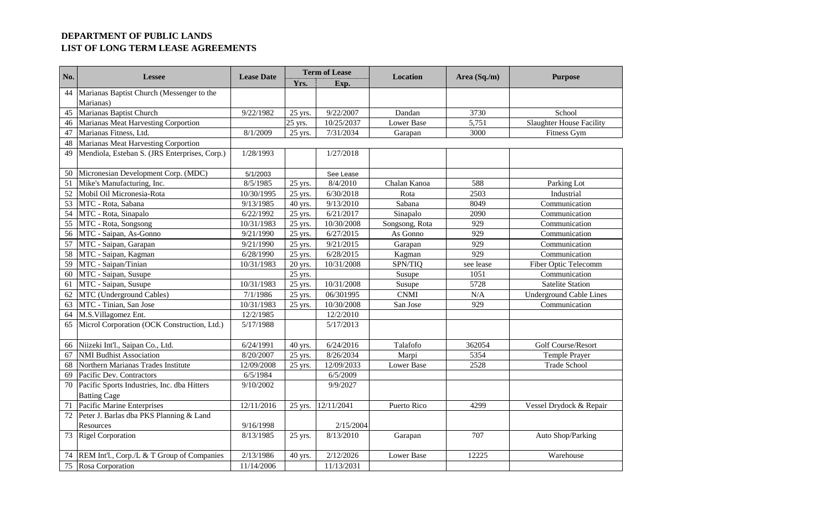| No. | <b>Lessee</b>                                 | <b>Lease Date</b> | <b>Term of Lease</b> |            | <b>Location</b>   | Area (Sq./m) | <b>Purpose</b>                  |
|-----|-----------------------------------------------|-------------------|----------------------|------------|-------------------|--------------|---------------------------------|
|     |                                               |                   | Yrs.                 | Exp.       |                   |              |                                 |
| 44  | Marianas Baptist Church (Messenger to the     |                   |                      |            |                   |              |                                 |
|     | Marianas)                                     |                   |                      |            |                   |              |                                 |
| 45  | Marianas Baptist Church                       | 9/22/1982         | 25 yrs.              | 9/22/2007  | Dandan            | 3730         | School                          |
| 46  | Marianas Meat Harvesting Corportion           |                   | 25 yrs.              | 10/25/2037 | <b>Lower Base</b> | 5,751        | <b>Slaughter House Facility</b> |
| 47  | Marianas Fitness, Ltd.                        | 8/1/2009          | 25 yrs.              | 7/31/2034  | Garapan           | 3000         | Fitness Gym                     |
| 48  | <b>Marianas Meat Harvesting Corportion</b>    |                   |                      |            |                   |              |                                 |
| 49  | Mendiola, Esteban S. (JRS Enterprises, Corp.) | 1/28/1993         |                      | 1/27/2018  |                   |              |                                 |
| 50  | Micronesian Development Corp. (MDC)           | 5/1/2003          |                      | See Lease  |                   |              |                                 |
| 51  | Mike's Manufacturing, Inc.                    | 8/5/1985          | 25 yrs.              | 8/4/2010   | Chalan Kanoa      | 588          | Parking Lot                     |
| 52  | Mobil Oil Micronesia-Rota                     | 10/30/1995        | 25 yrs.              | 6/30/2018  | Rota              | 2503         | Industrial                      |
| 53  | MTC - Rota, Sabana                            | 9/13/1985         | 40 yrs.              | 9/13/2010  | Sabana            | 8049         | Communication                   |
| 54  | MTC - Rota, Sinapalo                          | 6/22/1992         | 25 yrs.              | 6/21/2017  | Sinapalo          | 2090         | Communication                   |
| 55  | MTC - Rota, Songsong                          | 10/31/1983        | 25 yrs.              | 10/30/2008 | Songsong, Rota    | 929          | Communication                   |
| 56  | MTC - Saipan, As-Gonno                        | 9/21/1990         | 25 yrs.              | 6/27/2015  | As Gonno          | 929          | Communication                   |
| 57  | MTC - Saipan, Garapan                         | 9/21/1990         | 25 yrs.              | 9/21/2015  | Garapan           | 929          | Communication                   |
| 58  | MTC - Saipan, Kagman                          | 6/28/1990         | 25 yrs.              | 6/28/2015  | Kagman            | 929          | Communication                   |
| 59  | MTC - Saipan/Tinian                           | 10/31/1983        | 20 yrs.              | 10/31/2008 | SPN/TIQ           | see lease    | Fiber Optic Telecomm            |
| 60  | MTC - Saipan, Susupe                          |                   | 25 yrs.              |            | Susupe            | 1051         | Communication                   |
| 61  | MTC - Saipan, Susupe                          | 10/31/1983        | 25 yrs.              | 10/31/2008 | Susupe            | 5728         | <b>Satelite Station</b>         |
| 62  | MTC (Underground Cables)                      | 7/1/1986          | 25 yrs.              | 06/301995  | <b>CNMI</b>       | N/A          | <b>Underground Cable Lines</b>  |
| 63  | MTC - Tinian, San Jose                        | 10/31/1983        | 25 yrs.              | 10/30/2008 | San Jose          | 929          | Communication                   |
| 64  | M.S.Villagomez Ent.                           | 12/2/1985         |                      | 12/2/2010  |                   |              |                                 |
| 65  | Microl Corporation (OCK Construction, Ltd.)   | 5/17/1988         |                      | 5/17/2013  |                   |              |                                 |
| 66  | Niizeki Int'l., Saipan Co., Ltd.              | 6/24/1991         | 40 yrs.              | 6/24/2016  | Talafofo          | 362054       | Golf Course/Resort              |
| 67  | <b>NMI Budhist Association</b>                | 8/20/2007         | 25 yrs.              | 8/26/2034  | Marpi             | 5354         | Temple Prayer                   |
| 68  | Northern Marianas Trades Institute            | 12/09/2008        | 25 yrs.              | 12/09/2033 | <b>Lower Base</b> | 2528         | <b>Trade School</b>             |
| 69  | Pacific Dev. Contractors                      | 6/5/1984          |                      | 6/5/2009   |                   |              |                                 |
| 70  | Pacific Sports Industries, Inc. dba Hitters   | 9/10/2002         |                      | 9/9/2027   |                   |              |                                 |
|     | <b>Batting Cage</b>                           |                   |                      |            |                   |              |                                 |
| 71  | Pacific Marine Enterprises                    | 12/11/2016        | 25 yrs.              | 12/11/2041 | Puerto Rico       | 4299         | Vessel Drydock & Repair         |
| 72  | Peter J. Barlas dba PKS Planning & Land       |                   |                      |            |                   |              |                                 |
|     | Resources                                     | 9/16/1998         |                      | 2/15/2004  |                   |              |                                 |
| 73  | <b>Rigel Corporation</b>                      | 8/13/1985         | 25 yrs.              | 8/13/2010  | Garapan           | 707          | Auto Shop/Parking               |
| 74  | REM Int'l., Corp./L & T Group of Companies    | 2/13/1986         | 40 yrs.              | 2/12/2026  | Lower Base        | 12225        | Warehouse                       |
| 75  | Rosa Corporation                              | 11/14/2006        |                      | 11/13/2031 |                   |              |                                 |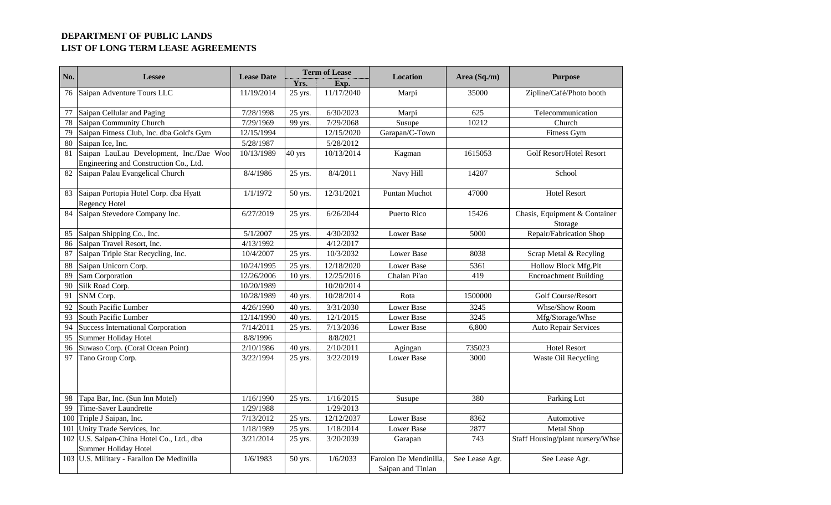| No. | <b>Lessee</b>                                                                     | <b>Lease Date</b> | <b>Term of Lease</b> |            | <b>Location</b>                             | Area (Sq./m)   | <b>Purpose</b>                           |  |
|-----|-----------------------------------------------------------------------------------|-------------------|----------------------|------------|---------------------------------------------|----------------|------------------------------------------|--|
|     |                                                                                   |                   | Yrs.                 | Exp.       |                                             |                |                                          |  |
| 76  | Saipan Adventure Tours LLC                                                        | 11/19/2014        | 25 yrs.              | 11/17/2040 | Marpi                                       | 35000          | Zipline/Café/Photo booth                 |  |
| 77  | Saipan Cellular and Paging                                                        | 7/28/1998         | 25 yrs.              | 6/30/2023  | Marpi                                       | 625            | Telecommunication                        |  |
| 78  | Saipan Community Church                                                           | 7/29/1969         | 99 yrs.              | 7/29/2068  | Susupe                                      | 10212          | Church                                   |  |
| 79  | Saipan Fitness Club, Inc. dba Gold's Gym                                          | 12/15/1994        |                      | 12/15/2020 | Garapan/C-Town                              |                | Fitness Gym                              |  |
| 80  | Saipan Ice, Inc.                                                                  | 5/28/1987         |                      | 5/28/2012  |                                             |                |                                          |  |
| 81  | Saipan LauLau Development, Inc./Dae Woo<br>Engineering and Construction Co., Ltd. | 10/13/1989        | 40 yrs               | 10/13/2014 | Kagman                                      | 1615053        | <b>Golf Resort/Hotel Resort</b>          |  |
| 82  | Saipan Palau Evangelical Church                                                   | 8/4/1986          | 25 yrs.              | 8/4/2011   | Navy Hill                                   | 14207          | School                                   |  |
| 83  | Saipan Portopia Hotel Corp. dba Hyatt<br>Regency Hotel                            | 1/1/1972          | 50 yrs.              | 12/31/2021 | Puntan Muchot                               | 47000          | <b>Hotel Resort</b>                      |  |
| 84  | Saipan Stevedore Company Inc.                                                     | 6/27/2019         | 25 yrs.              | 6/26/2044  | Puerto Rico                                 | 15426          | Chasis, Equipment & Container<br>Storage |  |
| 85  | Saipan Shipping Co., Inc.                                                         | 5/1/2007          | 25 yrs.              | 4/30/2032  | <b>Lower Base</b>                           | 5000           | Repair/Fabrication Shop                  |  |
| 86  | Saipan Travel Resort, Inc.                                                        | 4/13/1992         |                      | 4/12/2017  |                                             |                |                                          |  |
| 87  | Saipan Triple Star Recycling, Inc.                                                | 10/4/2007         | 25 yrs.              | 10/3/2032  | Lower Base                                  | 8038           | Scrap Metal & Recyling                   |  |
| 88  | Saipan Unicorn Corp.                                                              | 10/24/1995        | 25 yrs.              | 12/18/2020 | Lower Base                                  | 5361           | Hollow Block Mfg.Plt                     |  |
| 89  | Sam Corporation                                                                   | 12/26/2006        | 10 yrs.              | 12/25/2016 | Chalan Pi'ao                                | 419            | <b>Encroachment Building</b>             |  |
| 90  | Silk Road Corp.                                                                   | 10/20/1989        |                      | 10/20/2014 |                                             |                |                                          |  |
| 91  | SNM Corp.                                                                         | 10/28/1989        | 40 yrs.              | 10/28/2014 | Rota                                        | 1500000        | Golf Course/Resort                       |  |
| 92  | South Pacific Lumber                                                              | 4/26/1990         | 40 yrs.              | 3/31/2030  | <b>Lower Base</b>                           | 3245           | Whse/Show Room                           |  |
| 93  | South Pacific Lumber                                                              | 12/14/1990        | 40 yrs.              | 12/1/2015  | <b>Lower Base</b>                           | 3245           | Mfg/Storage/Whse                         |  |
| 94  | <b>Success International Corporation</b>                                          | 7/14/2011         | 25 yrs.              | 7/13/2036  | Lower Base                                  | 6,800          | <b>Auto Repair Services</b>              |  |
| 95  | Summer Holiday Hotel                                                              | 8/8/1996          |                      | 8/8/2021   |                                             |                |                                          |  |
| 96  | Suwaso Corp. (Coral Ocean Point)                                                  | 2/10/1986         | 40 yrs.              | 2/10/2011  | Agingan                                     | 735023         | <b>Hotel Resort</b>                      |  |
| 97  | Tano Group Corp.                                                                  | 3/22/1994         | 25 yrs.              | 3/22/2019  | <b>Lower Base</b>                           | 3000           | Waste Oil Recycling                      |  |
| 98  | Tapa Bar, Inc. (Sun Inn Motel)                                                    | 1/16/1990         | 25 yrs.              | 1/16/2015  | Susupe                                      | 380            | Parking Lot                              |  |
| 99  | Time-Saver Laundrette                                                             | 1/29/1988         |                      | 1/29/2013  |                                             |                |                                          |  |
| 100 | Triple J Saipan, Inc.                                                             | 7/13/2012         | 25 yrs.              | 12/12/2037 | Lower Base                                  | 8362           | Automotive                               |  |
| 101 | Unity Trade Services, Inc.                                                        | 1/18/1989         | 25 yrs.              | 1/18/2014  | <b>Lower Base</b>                           | 2877           | Metal Shop                               |  |
|     | 102 U.S. Saipan-China Hotel Co., Ltd., dba<br>Summer Holiday Hotel                | 3/21/2014         | 25 yrs.              | 3/20/2039  | Garapan                                     | 743            | Staff Housing/plant nursery/Whse         |  |
|     | 103 U.S. Military - Farallon De Medinilla                                         | 1/6/1983          | 50 yrs.              | 1/6/2033   | Farolon De Mendinilla,<br>Saipan and Tinian | See Lease Agr. | See Lease Agr.                           |  |